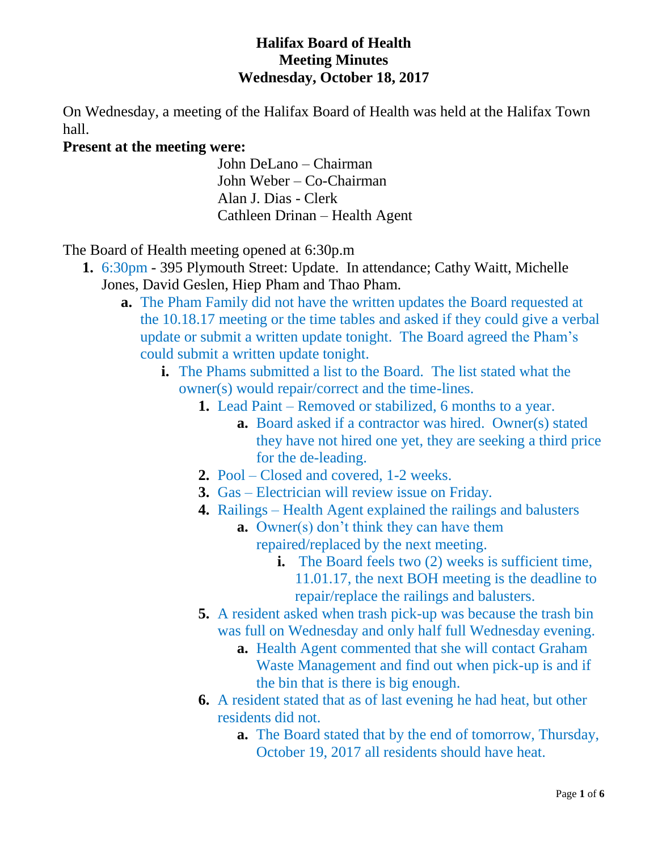### **Halifax Board of Health Meeting Minutes Wednesday, October 18, 2017**

On Wednesday, a meeting of the Halifax Board of Health was held at the Halifax Town hall.

### **Present at the meeting were:**

John DeLano – Chairman John Weber – Co-Chairman Alan J. Dias - Clerk Cathleen Drinan – Health Agent

The Board of Health meeting opened at 6:30p.m

- **1.** 6:30pm 395 Plymouth Street: Update. In attendance; Cathy Waitt, Michelle Jones, David Geslen, Hiep Pham and Thao Pham.
	- **a.** The Pham Family did not have the written updates the Board requested at the 10.18.17 meeting or the time tables and asked if they could give a verbal update or submit a written update tonight. The Board agreed the Pham's could submit a written update tonight.
		- **i.** The Phams submitted a list to the Board. The list stated what the owner(s) would repair/correct and the time-lines.
			- **1.** Lead Paint Removed or stabilized, 6 months to a year.
				- **a.** Board asked if a contractor was hired. Owner(s) stated they have not hired one yet, they are seeking a third price for the de-leading.
			- **2.** Pool Closed and covered, 1-2 weeks.
			- **3.** Gas Electrician will review issue on Friday.
			- **4.** Railings Health Agent explained the railings and balusters
				- **a.** Owner(s) don't think they can have them repaired/replaced by the next meeting.
					- **i.** The Board feels two (2) weeks is sufficient time, 11.01.17, the next BOH meeting is the deadline to repair/replace the railings and balusters.
			- **5.** A resident asked when trash pick-up was because the trash bin was full on Wednesday and only half full Wednesday evening.
				- **a.** Health Agent commented that she will contact Graham Waste Management and find out when pick-up is and if the bin that is there is big enough.
			- **6.** A resident stated that as of last evening he had heat, but other residents did not.
				- **a.** The Board stated that by the end of tomorrow, Thursday, October 19, 2017 all residents should have heat.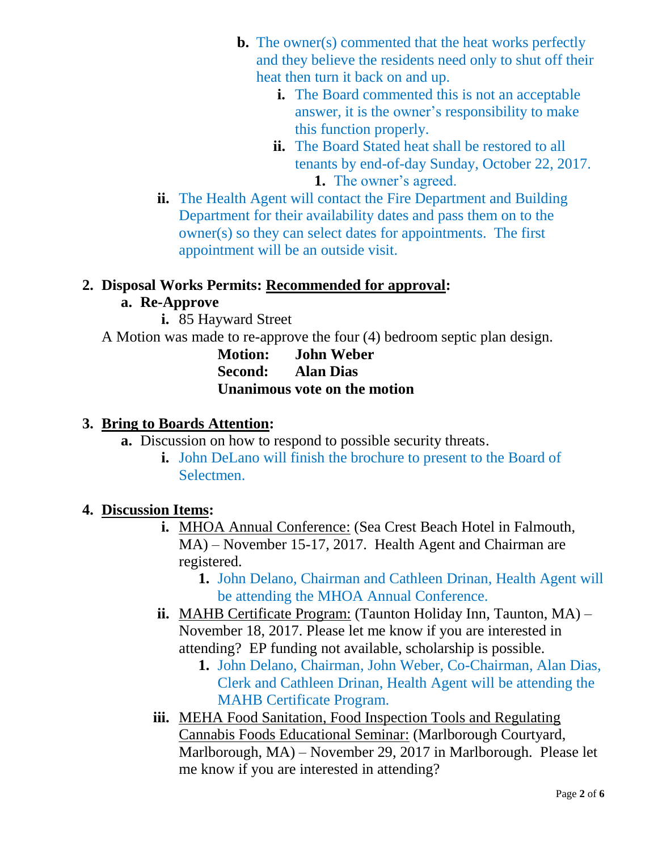- **b.** The owner(s) commented that the heat works perfectly and they believe the residents need only to shut off their heat then turn it back on and up.
	- **i.** The Board commented this is not an acceptable answer, it is the owner's responsibility to make this function properly.
	- **ii.** The Board Stated heat shall be restored to all tenants by end-of-day Sunday, October 22, 2017. **1.** The owner's agreed.
- **ii.** The Health Agent will contact the Fire Department and Building Department for their availability dates and pass them on to the owner(s) so they can select dates for appointments. The first appointment will be an outside visit.

## **2. Disposal Works Permits: Recommended for approval:**

# **a. Re-Approve**

- **i.** 85 Hayward Street
- A Motion was made to re-approve the four (4) bedroom septic plan design.

**Motion: John Weber Second: Alan Dias Unanimous vote on the motion**

# **3. Bring to Boards Attention:**

- **a.** Discussion on how to respond to possible security threats.
	- **i.** John DeLano will finish the brochure to present to the Board of Selectmen.

# **4. Discussion Items:**

- **i.** MHOA Annual Conference: (Sea Crest Beach Hotel in Falmouth, MA) – November 15-17, 2017. Health Agent and Chairman are registered.
	- **1.** John Delano, Chairman and Cathleen Drinan, Health Agent will be attending the MHOA Annual Conference.
- **ii.** MAHB Certificate Program: (Taunton Holiday Inn, Taunton, MA) November 18, 2017. Please let me know if you are interested in attending? EP funding not available, scholarship is possible.
	- **1.** John Delano, Chairman, John Weber, Co-Chairman, Alan Dias, Clerk and Cathleen Drinan, Health Agent will be attending the MAHB Certificate Program.
- **iii.** MEHA Food Sanitation, Food Inspection Tools and Regulating Cannabis Foods Educational Seminar: (Marlborough Courtyard, Marlborough, MA) – November 29, 2017 in Marlborough. Please let me know if you are interested in attending?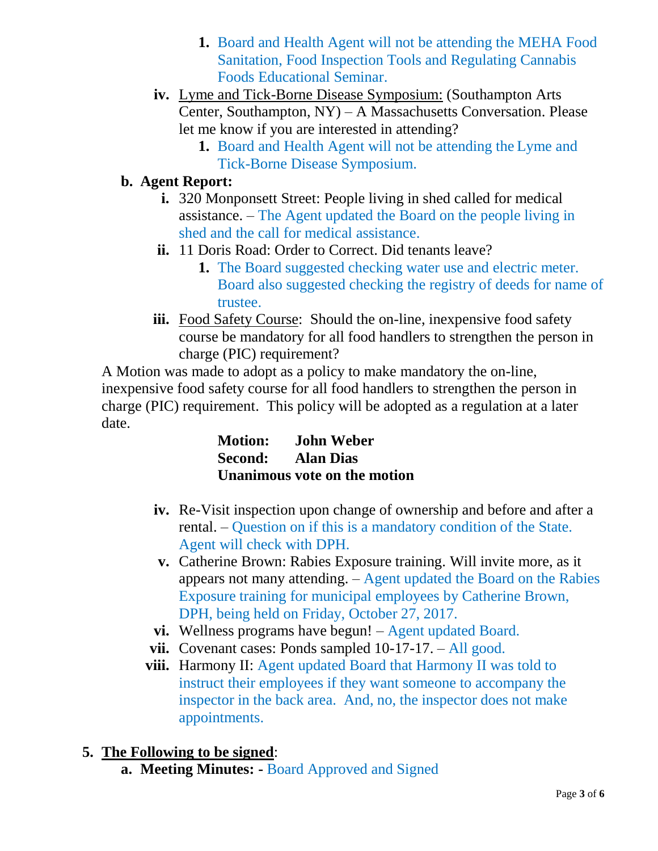- **1.** Board and Health Agent will not be attending the MEHA Food Sanitation, Food Inspection Tools and Regulating Cannabis Foods Educational Seminar.
- **iv.** Lyme and Tick-Borne Disease Symposium: (Southampton Arts Center, Southampton, NY) – A Massachusetts Conversation. Please let me know if you are interested in attending?
	- **1.** Board and Health Agent will not be attending the Lyme and Tick-Borne Disease Symposium.

# **b. Agent Report:**

- **i.** 320 Monponsett Street: People living in shed called for medical assistance. – The Agent updated the Board on the people living in shed and the call for medical assistance.
- **ii.** 11 Doris Road: Order to Correct. Did tenants leave?
	- **1.** The Board suggested checking water use and electric meter. Board also suggested checking the registry of deeds for name of trustee.
- **iii.** Food Safety Course: Should the on-line, inexpensive food safety course be mandatory for all food handlers to strengthen the person in charge (PIC) requirement?

A Motion was made to adopt as a policy to make mandatory the on-line, inexpensive food safety course for all food handlers to strengthen the person in charge (PIC) requirement. This policy will be adopted as a regulation at a later date.

| <b>Motion:</b> | <b>John Weber</b>            |
|----------------|------------------------------|
| Second:        | <b>Alan Dias</b>             |
|                | Unanimous vote on the motion |

- **iv.** Re-Visit inspection upon change of ownership and before and after a rental. – Question on if this is a mandatory condition of the State. Agent will check with DPH.
- **v.** Catherine Brown: Rabies Exposure training. Will invite more, as it appears not many attending. – Agent updated the Board on the Rabies Exposure training for municipal employees by Catherine Brown, DPH, being held on Friday, October 27, 2017.
- **vi.** Wellness programs have begun! Agent updated Board.
- **vii.** Covenant cases: Ponds sampled 10-17-17. All good.
- **viii.** Harmony II: Agent updated Board that Harmony II was told to instruct their employees if they want someone to accompany the inspector in the back area. And, no, the inspector does not make appointments.

# **5. The Following to be signed**:

**a. Meeting Minutes: -** Board Approved and Signed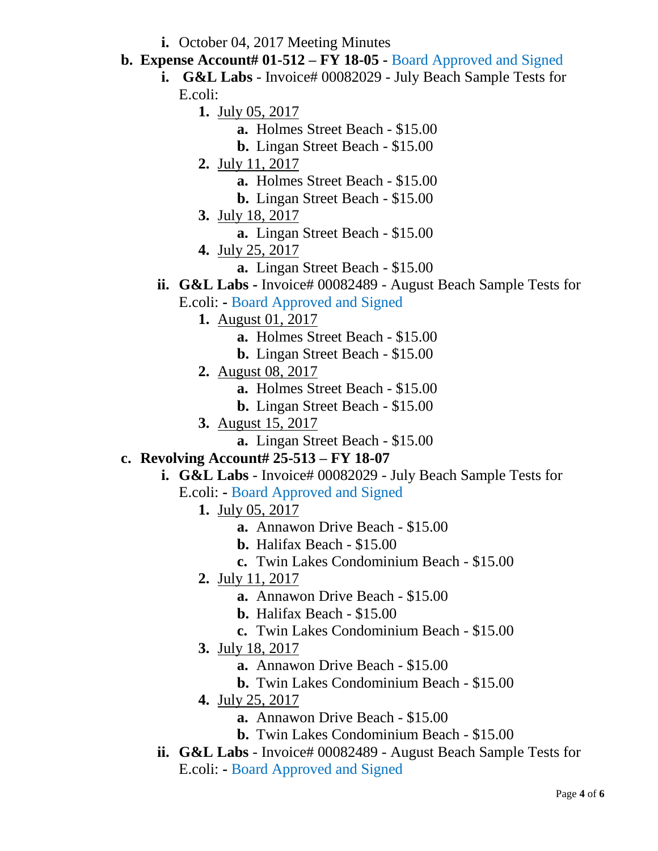- **i.** October 04, 2017 Meeting Minutes
- **b. Expense Account# 01-512 – FY 18-05 -** Board Approved and Signed
	- **i. G&L Labs** Invoice# 00082029 July Beach Sample Tests for E.coli:
		- **1.** July 05, 2017
			- **a.** Holmes Street Beach \$15.00
			- **b.** Lingan Street Beach \$15.00
		- **2.** July 11, 2017
			- **a.** Holmes Street Beach \$15.00
			- **b.** Lingan Street Beach \$15.00
		- **3.** July 18, 2017
			- **a.** Lingan Street Beach \$15.00
		- **4.** July 25, 2017
			- **a.** Lingan Street Beach \$15.00
	- **ii. G&L Labs** Invoice# 00082489 August Beach Sample Tests for
		- E.coli: **-** Board Approved and Signed
			- **1.** August 01, 2017
				- **a.** Holmes Street Beach \$15.00
				- **b.** Lingan Street Beach \$15.00
			- **2.** August 08, 2017
				- **a.** Holmes Street Beach \$15.00
				- **b.** Lingan Street Beach \$15.00
			- **3.** August 15, 2017
				- **a.** Lingan Street Beach \$15.00

## **c. Revolving Account# 25-513 – FY 18-07**

- **i. G&L Labs** Invoice# 00082029 July Beach Sample Tests for
	- E.coli: **-** Board Approved and Signed
		- **1.** July 05, 2017
			- **a.** Annawon Drive Beach \$15.00
			- **b.** Halifax Beach \$15.00
			- **c.** Twin Lakes Condominium Beach \$15.00
		- **2.** July 11, 2017
			- **a.** Annawon Drive Beach \$15.00
			- **b.** Halifax Beach \$15.00
			- **c.** Twin Lakes Condominium Beach \$15.00
		- **3.** July 18, 2017
			- **a.** Annawon Drive Beach \$15.00
			- **b.** Twin Lakes Condominium Beach \$15.00
		- **4.** July 25, 2017
			- **a.** Annawon Drive Beach \$15.00
			- **b.** Twin Lakes Condominium Beach \$15.00
- ii. **G&L Labs** Invoice# 00082489 August Beach Sample Tests for E.coli: **-** Board Approved and Signed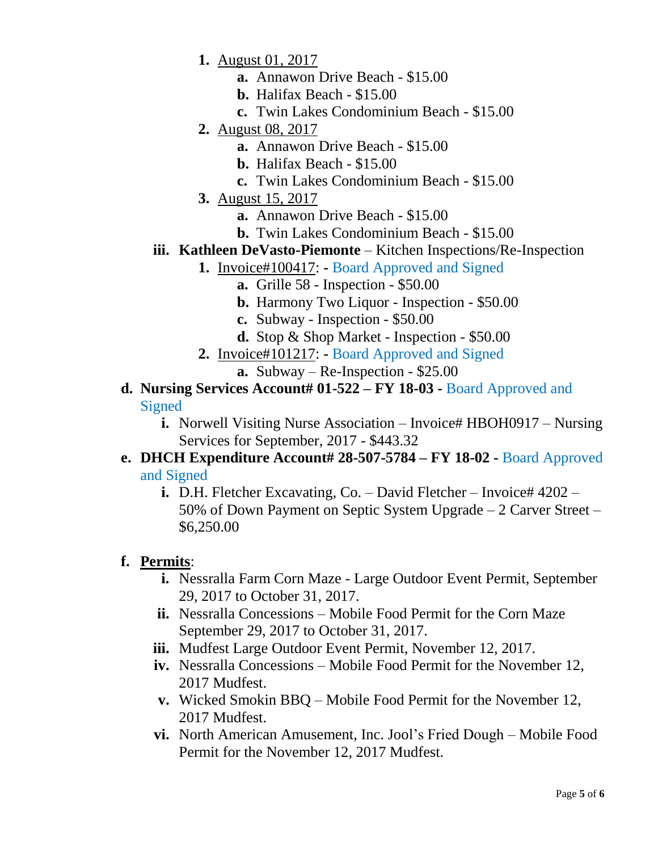- **1.** August 01, 2017
	- **a.** Annawon Drive Beach \$15.00
	- **b.** Halifax Beach \$15.00
	- **c.** Twin Lakes Condominium Beach \$15.00
- **2.** August 08, 2017
	- **a.** Annawon Drive Beach \$15.00
	- **b.** Halifax Beach \$15.00
	- **c.** Twin Lakes Condominium Beach \$15.00
- **3.** August 15, 2017
	- **a.** Annawon Drive Beach \$15.00
	- **b.** Twin Lakes Condominium Beach \$15.00
- **iii. Kathleen DeVasto-Piemonte** Kitchen Inspections/Re-Inspection
	- **1.** Invoice#100417: **-** Board Approved and Signed
		- **a.** Grille 58 Inspection \$50.00
		- **b.** Harmony Two Liquor Inspection \$50.00
		- **c.** Subway Inspection \$50.00
		- **d.** Stop & Shop Market Inspection \$50.00
	- **2.** Invoice#101217: **-** Board Approved and Signed
		- **a.** Subway Re-Inspection \$25.00
- **d. Nursing Services Account# 01-522 – FY 18-03 -** Board Approved and **Signed** 
	- **i.** Norwell Visiting Nurse Association Invoice# HBOH0917 Nursing Services for September, 2017 - \$443.32
- **e. DHCH Expenditure Account# 28-507-5784 – FY 18-02 -** Board Approved and Signed
	- **i.** D.H. Fletcher Excavating, Co. David Fletcher Invoice#  $4202 -$ 50% of Down Payment on Septic System Upgrade – 2 Carver Street – \$6,250.00

### **f. Permits**:

- **i.** Nessralla Farm Corn Maze Large Outdoor Event Permit, September 29, 2017 to October 31, 2017.
- **ii.** Nessralla Concessions Mobile Food Permit for the Corn Maze September 29, 2017 to October 31, 2017.
- **iii.** Mudfest Large Outdoor Event Permit, November 12, 2017.
- **iv.** Nessralla Concessions Mobile Food Permit for the November 12, 2017 Mudfest.
- **v.** Wicked Smokin BBQ Mobile Food Permit for the November 12, 2017 Mudfest.
- **vi.** North American Amusement, Inc. Jool's Fried Dough Mobile Food Permit for the November 12, 2017 Mudfest.